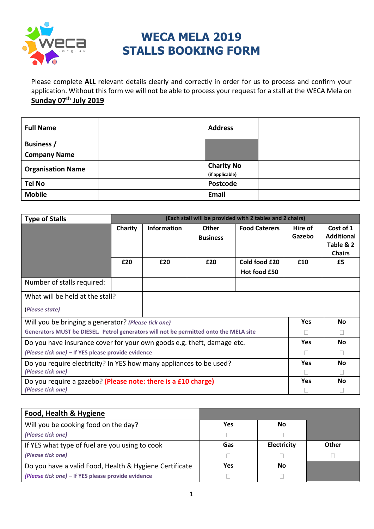

## **WECA MELA 2019 STALLS BOOKING FORM**

Please complete **ALL** relevant details clearly and correctly in order for us to process and confirm your application. Without this form we will not be able to process your request for a stall at the WECA Mela on **Sunday 07th July 2019**

| <b>Full Name</b>         | <b>Address</b>    |  |
|--------------------------|-------------------|--|
| <b>Business</b> /        |                   |  |
| <b>Company Name</b>      |                   |  |
| <b>Organisation Name</b> | <b>Charity No</b> |  |
|                          | (if applicable)   |  |
| <b>Tel No</b>            | Postcode          |  |
| <b>Mobile</b>            | Email             |  |

| <b>Type of Stalls</b>                                                                 | (Each stall will be provided with 2 tables and 2 chairs) |                    |                 |                      |         |                   |
|---------------------------------------------------------------------------------------|----------------------------------------------------------|--------------------|-----------------|----------------------|---------|-------------------|
|                                                                                       | Charity                                                  | <b>Information</b> | Other           | <b>Food Caterers</b> | Hire of | Cost of 1         |
|                                                                                       |                                                          |                    | <b>Business</b> |                      | Gazebo  | <b>Additional</b> |
|                                                                                       |                                                          |                    |                 |                      |         | Table & 2         |
|                                                                                       |                                                          |                    |                 |                      |         | <b>Chairs</b>     |
|                                                                                       | £20                                                      | £20                | £20             | Cold food £20        | £10     | £5                |
|                                                                                       |                                                          |                    |                 | Hot food £50         |         |                   |
| Number of stalls required:                                                            |                                                          |                    |                 |                      |         |                   |
| What will be held at the stall?                                                       |                                                          |                    |                 |                      |         |                   |
| (Please state)                                                                        |                                                          |                    |                 |                      |         |                   |
| Will you be bringing a generator? (Please tick one)                                   |                                                          |                    | <b>Yes</b>      | <b>No</b>            |         |                   |
| Generators MUST be DIESEL. Petrol generators will not be permitted onto the MELA site |                                                          |                    |                 | $\mathbf{L}$         |         |                   |
| Do you have insurance cover for your own goods e.g. theft, damage etc.                |                                                          |                    | <b>Yes</b>      | <b>No</b>            |         |                   |
| (Please tick one) - If YES please provide evidence                                    |                                                          |                    |                 | Ш                    |         |                   |
| Do you require electricity? In YES how many appliances to be used?                    |                                                          |                    | <b>Yes</b>      | No                   |         |                   |
| (Please tick one)                                                                     |                                                          |                    |                 |                      |         |                   |
| Do you require a gazebo? (Please note: there is a £10 charge)                         |                                                          |                    | Yes             | No                   |         |                   |
| (Please tick one)                                                                     |                                                          |                    |                 |                      |         |                   |

| <b>Food, Health &amp; Hygiene</b>                      |     |             |       |
|--------------------------------------------------------|-----|-------------|-------|
| Will you be cooking food on the day?                   | Yes | No          |       |
| (Please tick one)                                      |     |             |       |
| If YES what type of fuel are you using to cook         | Gas | Electricity | Other |
| (Please tick one)                                      |     |             |       |
| Do you have a valid Food, Health & Hygiene Certificate | Yes | Νo          |       |
| (Please tick one) – If YES please provide evidence     |     |             |       |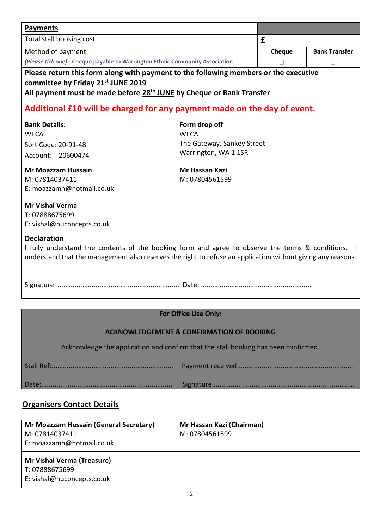| <b>Payments</b>                                                                                                                                                                                                                                                                                        |                            |        |                      |  |
|--------------------------------------------------------------------------------------------------------------------------------------------------------------------------------------------------------------------------------------------------------------------------------------------------------|----------------------------|--------|----------------------|--|
| Total stall booking cost                                                                                                                                                                                                                                                                               |                            | £      |                      |  |
| Method of payment                                                                                                                                                                                                                                                                                      |                            | Cheque | <b>Bank Transfer</b> |  |
| (Please tick one) - Cheque payable to Warrington Ethnic Community Association                                                                                                                                                                                                                          |                            |        |                      |  |
| Please return this form along with payment to the following members or the executive<br>committee by Friday 21 <sup>st</sup> JUNE 2019<br>All payment must be made before 28 <sup>th</sup> JUNE by Cheque or Bank Transfer<br>Additional £10 will be charged for any payment made on the day of event. |                            |        |                      |  |
| <b>Bank Details:</b>                                                                                                                                                                                                                                                                                   | Form drop off              |        |                      |  |
| <b>WECA</b>                                                                                                                                                                                                                                                                                            | <b>WECA</b>                |        |                      |  |
| Sort Code: 20-91-48                                                                                                                                                                                                                                                                                    | The Gateway, Sankey Street |        |                      |  |
| Account: 20600474                                                                                                                                                                                                                                                                                      | Warrington, WA 1 1SR       |        |                      |  |
| <b>Mr Moazzam Hussain</b>                                                                                                                                                                                                                                                                              | Mr Hassan Kazi             |        |                      |  |
| M: 07814037411                                                                                                                                                                                                                                                                                         | M: 07804561599             |        |                      |  |
| E: moazzamh@hotmail.co.uk                                                                                                                                                                                                                                                                              |                            |        |                      |  |
| <b>Mr Vishal Verma</b>                                                                                                                                                                                                                                                                                 |                            |        |                      |  |
| T: 07888675699                                                                                                                                                                                                                                                                                         |                            |        |                      |  |
| E: vishal@nuconcepts.co.uk                                                                                                                                                                                                                                                                             |                            |        |                      |  |
| <b>Declaration</b><br>I fully understand the contents of the booking form and agree to observe the terms & conditions. I<br>understand that the management also reserves the right to refuse an application without giving any reasons.                                                                |                            |        |                      |  |
|                                                                                                                                                                                                                                                                                                        |                            |        |                      |  |
| For Office Use Only:                                                                                                                                                                                                                                                                                   |                            |        |                      |  |
|                                                                                                                                                                                                                                                                                                        |                            |        |                      |  |
| <b>ACKNOWLEDGEMENT &amp; CONFIRMATION OF BOOKING</b>                                                                                                                                                                                                                                                   |                            |        |                      |  |
| Acknowledge the application and confirm that the stall booking has been confirmed.                                                                                                                                                                                                                     |                            |        |                      |  |

## **Organisers Contact Details**

| Mr Moazzam Hussain (General Secretary)<br>M: 07814037411<br>E: moazzamh@hotmail.co.uk | Mr Hassan Kazi (Chairman)<br>M: 07804561599 |
|---------------------------------------------------------------------------------------|---------------------------------------------|
| <b>Mr Vishal Verma (Treasure)</b><br>T: 07888675699<br>E: vishal@nuconcepts.co.uk     |                                             |